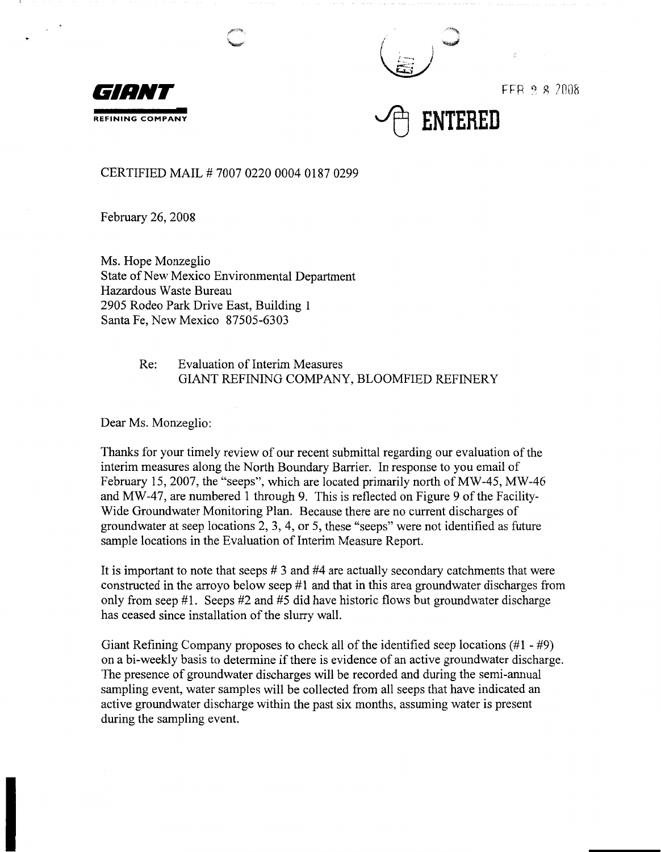



 $FFR 28 7008$ 



CERTIFIED MAIL# 7007 0220 0004 0187 0299

February 26, 2008

Ms. Hope Monzeglio State of New Mexico Environmental Department Hazardous Waste Bureau 2905 Rodeo Park Drive East, Building 1 Santa Fe, New Mexico 87505-6303

> Re: Evaluation of Interim Measures GIANT REFINING COMPANY, BLOOMFIED REFINERY

Dear Ms. Monzeglio:

Thanks for your timely review of our recent submittal regarding our evaluation of the interim measures along the North Boundary Barrier. In response to you email of February 15, 2007, the "seeps", which are located primarily north of MW-45, MW-46 and MW-47, are numbered 1 through 9. This is reflected on Figure 9 of the Facility-Wide Groundwater Monitoring Plan. Because there are no current discharges of groundwater at seep locations 2, 3, 4, or 5, these "seeps" were not identified as future sample locations in the Evaluation of Interim Measure Report.

It is important to note that seeps # 3 and #4 are actually secondary catchments that were constructed in the arroyo below seep #1 and that in this area groundwater discharges from only from seep #1. Seeps #2 and #5 did have historic flows but groundwater discharge has ceased since installation of the slurry wall.

Giant Refining Company proposes to check all of the identified seep locations (#1 - #9) on a bi-weekly basis to determine if there is evidence of an active groundwater discharge. The presence of groundwater discharges will be recorded and during the semi-annual sampling event, water samples will be collected from all seeps that have indicated an active groundwater discharge within the past six months, assuming water is present during the sampling event.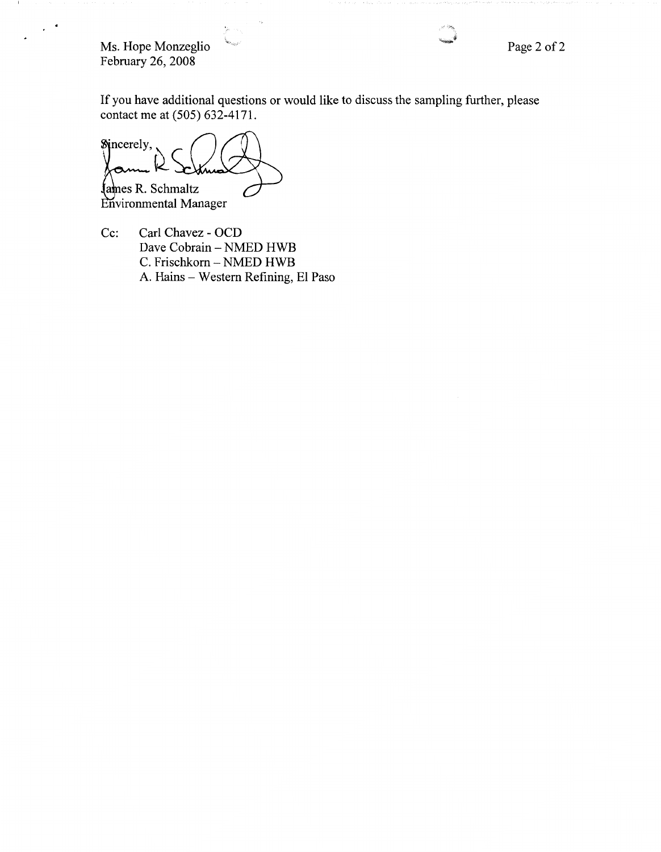Ms. Hope Monzeglio February 26, 2008

- 1

 $\sim$   $^{\circ}$ 

If you have additional questions or would like to discuss the sampling further, please contact me at (505) 632-4171.

Sincerely, James R. Schmaltz

Environmental Manager

Cc: Carl Chavez - OCD Dave Cobrain - NMED HWB C. Frischkorn - NMED HWB A. Hains - Western Refining, El Paso